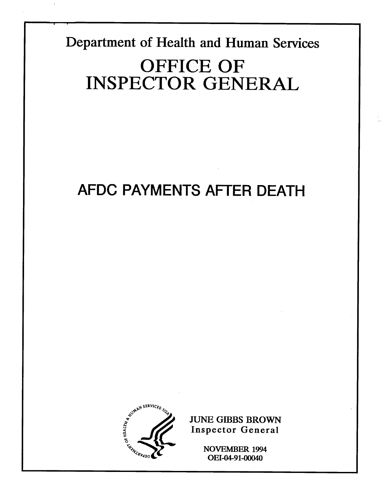Department of Health and Human Services

# OFFICE OF INSPECTOR GENERAL

# AFDC PAYMENTS AFTER DEATH



**JUNE GIBBS BROWN** Inspector General

> **NOVEMBER 1994** OEI-04-91-00040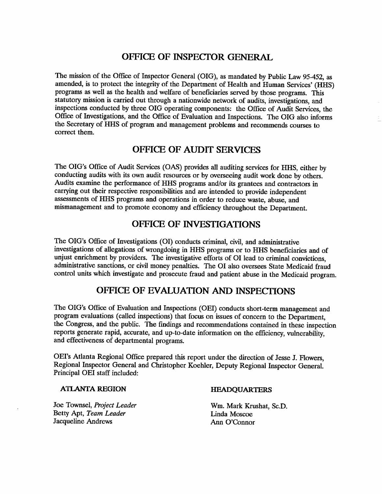## OFFICE OF INSPECTOR GENERAL

The mission of the Office of Inspector General (OIG), as mandated by Public Law 95-452, as amended, is to protect the integrity of the Department of Health and Human Services' (HHS) programs as well as the health and welfare of beneficiaries served by those programs. This statutory mission is carried out through a nationwide network of audits, investigations, and inspections conducted by three OIG operating components: the Office of Audit Services, the Office of Investigations, and the Office of Evaluation and Inspections. The OIG also informs the Secretary of HHS of program and management problems and recommends courses to correct them.

# OFFICE OF AUDIT SERVICE

The OIG's Office of Audit Services (OAS) provides all auditing services for HHS, either by conducting audits with its own audit resources or by overseeing audit work done by others. Audits examine the performance of HHS programs and/or its grantees and contractors in carrying out their respective responsibilities and are intended to provide independent assessments of HHS programs and operations in order to reduce waste, abuse, and mismanagement and to promote economy and efficiency throughout the Department.

# OFFICE OF INVESTIGATIONS

The OIG's Office of Investigations (OI) conducts criminal, civil, and administrative investigations of allegations of wrongdoing in HHS programs or to HHS beneficiaries and of unjust enrichment by providers. The investigative efforts of 01 lead to criminal convictions administrative sanctions, or civil money penalties. The 01 also oversees State Medicaid fraud control units which investigate and prosecute fraud and patient abuse in the Medicaid program.

# OFFICE OF EVALUATION AND INSPECTIONS

The DIG's Office of Evaluation and Inspections (DEI) conducts short-term management and program evaluations (called inspections) that focus on issues of concern to the Department the Congress, and the public. The findings and recommendations contained in these inspection reports generate rapid, accurate, and up-to-date information on the efficiency, vulnerability, and effectiveness of departmental programs.

OEI's Atlanta Regional Office prepared this report under the direction of Jesse J. Flowers, Regional Inspector General and Christopher Koehler, Deputy Regional Inspector General. Principal DEI staff included:

#### ATLANTA REGION HEADQUARTERS

Joe Townsel, Project Leader Wm. Mark Krushat, Sc.D. Betty Apt, Team Leader Linda Moscoe Jacqueline Andrews Ann O'Connor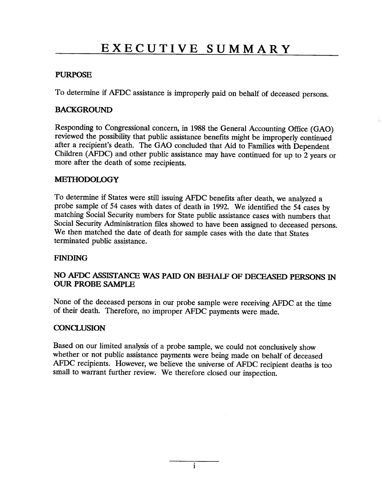#### PURPOSE

To determine if AFDC assistance is improperly paid on behalf of deceased persons.

#### **BACKGROUND**

Responding to Congressional concern, in 1988 the General Accounting Office (GAD) reviewed the possibilty that public assistance benefits might be improperly continued after a recipient's death. The GAO concluded that Aid to Families with Dependent Children (AFDC) and other public assistance may have continued for up to  $2$  years or more after the death of some recipients.

#### **METHODOLOGY**

To determine if States were stil issuing AFDC benefits after death, we analyzed a probe sample of 54 cases with dates of death in 1992. We identified the 54 cases by matching Social Security numbers for State public assistance cases with numbers that Social Security Administration files showed to have been assigned to deceased persons. We then matched the date of death for sample cases with the date that States terminated public assistance.

#### FINDING

#### NO AFDC ASSISTANCE WAS PAID ON BEHALF OF DECEASED PERSONS IN **OUR PROBE SAMPLE**

None of the deceased persons in our probe sample were receiving AFDC at the time of their death. Therefore, no improper AFDC payments were made.

#### **CONCLUSION**

Based on our limited analysis of a probe sample, we could not conclusively show whether or not public assistance payments were being made on behalf of deceased AFDC recipients. However, we believe the universe of AFDC recipient deaths is too small to warrant further review. We therefore closed our inspection.

i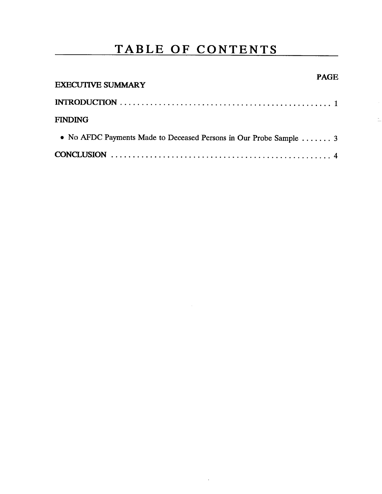# TABLE OF CONTENTS

| <b>EXECUTIVE SUMMARY</b>                                           | <b>PAGE</b> |
|--------------------------------------------------------------------|-------------|
|                                                                    |             |
| <b>FINDING</b>                                                     |             |
| • No AFDC Payments Made to Deceased Persons in Our Probe Sample  3 |             |
|                                                                    |             |

 $\bar{z}$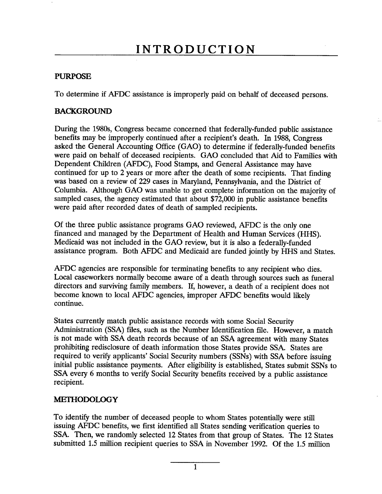## PURPOSE

To determine if AFDC assistance is improperly paid on behalf of deceased persons.

### **BACKGROUND**

During the 1980s, Congress became concerned that federally-funded public assistance benefits may be improperly continued after a recipient's death. In 1988, Congress asked the General Accounting Office (GAO) to determine if federally-funded benefits were paid on behalf of deceased recipients. GAO concluded that Aid to Families with Dependent Children (AFDC), Food Stamps, and General Assistance may have continued for up to 2 years or more after the death of some recipients. That finding was based on a review of 229 cases in Maryland, Pennsylvania, and the District of Columbia. Although GAO was unable to get complete information on the majority of sampled cases, the agency estimated that about \$72,000 in public assistance benefits were paid after recorded dates of death of sampled recipients.

Of the three public assistance programs GAO reviewed, AFDC is the only one financed and managed by the Department of Health and Human Services (HHS). Medicaid was not included in the GAO review, but it is also a federally-funded assistance program. Both AFDC and Medicaid are funded jointly by HHS and States.

AFDC agencies are responsible for terminating benefits to any recipient who dies. Local caseworkers normally become aware of a death through sources such as funeral directors and surviving family members. If, however, a death of a recipient does not become known to local AFDC agencies, improper AFDC benefits would likely continue.

States currently match public assistance records with some Social Security Administration (SSA) files, such as the Number Identification file. However, a match is not made with SSA death records because of an SSA agreement with many States prohibiting redisclosure of death information those States provide SSA. States are required to verify applicants' Social Security numbers (SSNs) with SSA before issuing initial public assistance payments. After eligibilty is established, States submit SSNs to SSA every 6 months to verify Social Security benefits received by a public assistance recipient.

#### METHODOLOGY

To identify the number of deceased people to whom States potentially were stil issuing AFDC benefits, we first identified all States sending verification queries to SSA. Then, we randomly selected 12 States from that group of States. The 12 States submitted 1.5 milion recipient queries to SSA in November 1992. Of the 1.5 milion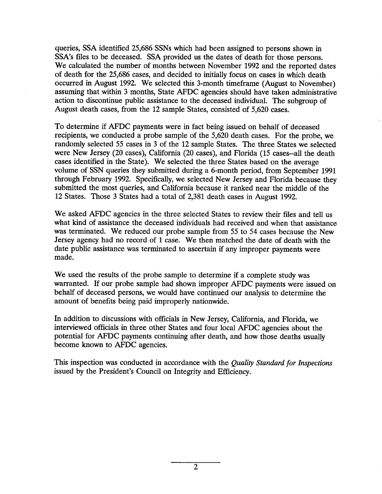queries, SSA identified 25,686 SSNs which had been assigned to persons shown in SSA's files to be deceased. SSA provided us the dates of death for those persons. We calculated the number of months between November 1992 and the reported dates of death for the 25 686 cases, and decided to initially focus on cases in which death occurred in August 1992. We selected this 3-month timeframe (August to November) assuming that within 3 months, State AFDC agencies should have taken administrative action to discontinue public assistance to the deceased individual. The subgroup of August death cases, from the 12 sample States, consisted of 5,620 cases.

To determine if AFDC payments were in fact being issued on behalf of deceased recipients, we conducted a probe sample of the 5 620 death cases. For the probe, we randomly selected 55 cases in 3 of the 12 sample States. The three States we selected were New Jersey (20 cases), California (20 cases), and Florida (15 cases--all the death cases identified in the State). We selected the three States based on the average volume of SSN queries they submitted during a 6-month period, from September 1991 through February 1992. Specifically, we selected New Jersey and Florida because they submitted the most queries, and California because it ranked near the middle of the 12 States. Those 3 States had a total of 2,381 death cases in August 1992.

We asked AFDC agencies in the three selected States to review their files and tell us what kind of assistance the deceased individuals had received and when that assistance was terminated. We reduced our probe sample from 55 to 54 cases because the New Jersey agency had no record of 1 case. We then matched the date of death with the date public assistance was terminated to ascertain if any improper payments were made.

We used the results of the probe sample to determine if a complete study was warranted. If our probe sample had shown improper AFDC payments were issued on behalf of deceased persons, we would have continued our analysis to determine the amount of benefits being paid improperly nationwide.

In addition to discussions with officials in New Jersey, California, and Florida, we interviewed officials in three other States and four local AFDC agencies about the potential for AFDC payments continuing after death, and how those deaths usually become known to AFDC agencies.

This inspection was conducted in accordance with the *Quality Standard for Inspections* issued by the President's Council on Integrity and Efficiency.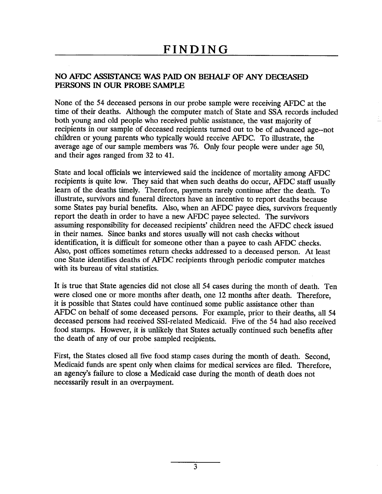### NO AFDC ASSISTANCE WAS PAID ON BEHALF OF ANY DECEASED PERSONS IN OUR PROBE SAMPLE

None of the 54 deceased persons in our probe sample were receiving AFDC at the time of their deaths. Although the computer match of State and SSA records included both young and old people who received public assistance, the vast majority of recipients in our sample of deceased recipients turned out to be of advanced age--not children or young parents who typically would receive AFDC. To illustrate, the average age of our sample members was 76. Only four people were under age 50 and their ages ranged from 32 to 41.

State and local officials we interviewed said the incidence of mortality among AFDC recipients is quite low. They said that when such deaths do occur, AFDC staff usually learn of the deaths timely. Therefore, payments rarely continue after the death. illustrate, survivors and funeral directors have an incentive to report deaths because some States pay burial benefits. Also, when an AFDC payee dies, survivors frequently report the death in order to have a new AFDC payee selected. The survivors assuming responsibilty for deceased recipients' children need the AFDC check issued in their names. Since banks and stores usually will not cash checks without identification, it is difficult for someone other than a payee to cash AFDC checks. Also, post offices sometimes return checks addressed to a deceased person. At least one State identifies deaths of AFDC recipients through periodic computer matches with its bureau of vital statistics.

It is true that State agencies did not close all 54 cases during the month of death. Ten were closed one or more months after death, one 12 months after death. Therefore it is possible that States could have continued some public assistance other than AFDC on behalf of some deceased persons. For example, prior to their deaths, all 54 deceased persons had received SSI-related Medicaid. Five of the 54 had also received food stamps. However, it is unlikely that States actually continued such benefits after the death of any of our probe sampled recipients.

First, the States closed all five food stamp cases during the month of death. Second Medicaid funds are spent only when claims for medical services are filed. Therefore, an agency's failure to close a Medicaid case during the month of death does not necessarily result in an overpayment.

3